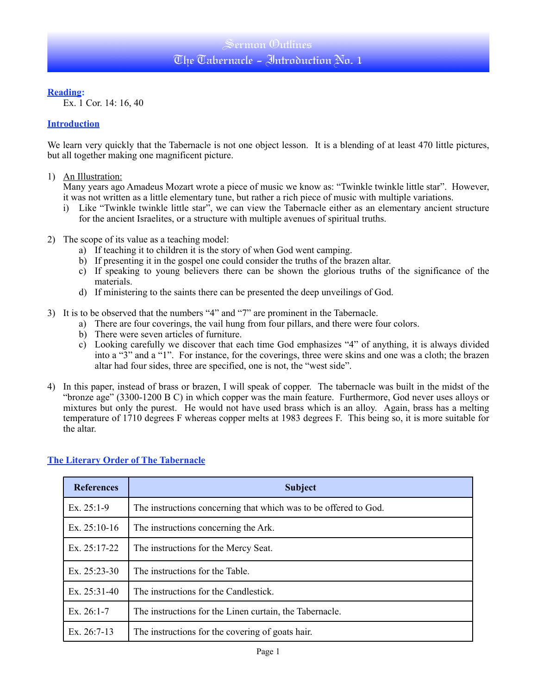### Sermon (Dutlines The Tabernacle - Introduction No. 1

**Reading:**

Ex. 1 Cor. 14: 16, 40

#### **Introduction**

We learn very quickly that the Tabernacle is not one object lesson. It is a blending of at least 470 little pictures, but all together making one magnificent picture.

1) An Illustration:

Many years ago Amadeus Mozart wrote a piece of music we know as: "Twinkle twinkle little star". However, it was not written as a little elementary tune, but rather a rich piece of music with multiple variations.

- i) Like "Twinkle twinkle little star", we can view the Tabernacle either as an elementary ancient structure for the ancient Israelites, or a structure with multiple avenues of spiritual truths.
- 2) The scope of its value as a teaching model:
	- a) If teaching it to children it is the story of when God went camping.
	- b) If presenting it in the gospel one could consider the truths of the brazen altar.
	- c) If speaking to young believers there can be shown the glorious truths of the significance of the materials.
	- d) If ministering to the saints there can be presented the deep unveilings of God.
- 3) It is to be observed that the numbers "4" and "7" are prominent in the Tabernacle.
	- a) There are four coverings, the vail hung from four pillars, and there were four colors.
	- b) There were seven articles of furniture.
	- c) Looking carefully we discover that each time God emphasizes "4" of anything, it is always divided into a "3" and a "1". For instance, for the coverings, three were skins and one was a cloth; the brazen altar had four sides, three are specified, one is not, the "west side".
- 4) In this paper, instead of brass or brazen, I will speak of copper. The tabernacle was built in the midst of the "bronze age" (3300-1200 B C) in which copper was the main feature. Furthermore, God never uses alloys or mixtures but only the purest. He would not have used brass which is an alloy. Again, brass has a melting temperature of 1710 degrees F whereas copper melts at 1983 degrees F. This being so, it is more suitable for the altar.

| <b>References</b> | <b>Subject</b>                                                   |
|-------------------|------------------------------------------------------------------|
| Ex. $25:1-9$      | The instructions concerning that which was to be offered to God. |
| Ex. $25:10-16$    | The instructions concerning the Ark.                             |
| Ex. $25:17-22$    | The instructions for the Mercy Seat.                             |
| Ex. $25:23-30$    | The instructions for the Table.                                  |
| Ex. $25:31-40$    | The instructions for the Candlestick.                            |
| Ex. $26:1-7$      | The instructions for the Linen curtain, the Tabernacle.          |
| Ex. 26:7-13       | The instructions for the covering of goats hair.                 |

#### **The Literary Order of The Tabernacle**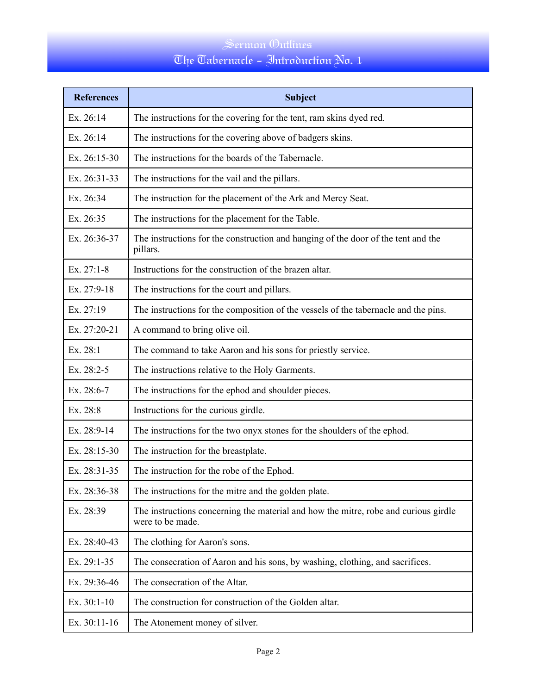# The Tabernacle - Introduction No. 1

| <b>References</b> | <b>Subject</b>                                                                                          |
|-------------------|---------------------------------------------------------------------------------------------------------|
| Ex. 26:14         | The instructions for the covering for the tent, ram skins dyed red.                                     |
| Ex. 26:14         | The instructions for the covering above of badgers skins.                                               |
| Ex. 26:15-30      | The instructions for the boards of the Tabernacle.                                                      |
| Ex. 26:31-33      | The instructions for the vail and the pillars.                                                          |
| Ex. 26:34         | The instruction for the placement of the Ark and Mercy Seat.                                            |
| Ex. 26:35         | The instructions for the placement for the Table.                                                       |
| Ex. 26:36-37      | The instructions for the construction and hanging of the door of the tent and the<br>pillars.           |
| Ex. $27:1-8$      | Instructions for the construction of the brazen altar.                                                  |
| Ex. 27:9-18       | The instructions for the court and pillars.                                                             |
| Ex. 27:19         | The instructions for the composition of the vessels of the tabernacle and the pins.                     |
| Ex. 27:20-21      | A command to bring olive oil.                                                                           |
| Ex. 28:1          | The command to take Aaron and his sons for priestly service.                                            |
| Ex. 28:2-5        | The instructions relative to the Holy Garments.                                                         |
| Ex. 28:6-7        | The instructions for the ephod and shoulder pieces.                                                     |
| Ex. 28:8          | Instructions for the curious girdle.                                                                    |
| Ex. 28:9-14       | The instructions for the two onyx stones for the shoulders of the ephod.                                |
| Ex. 28:15-30      | The instruction for the breastplate.                                                                    |
| Ex. 28:31-35      | The instruction for the robe of the Ephod.                                                              |
| Ex. 28:36-38      | The instructions for the mitre and the golden plate.                                                    |
| Ex. 28:39         | The instructions concerning the material and how the mitre, robe and curious girdle<br>were to be made. |
| Ex. 28:40-43      | The clothing for Aaron's sons.                                                                          |
| Ex. 29:1-35       | The consecration of Aaron and his sons, by washing, clothing, and sacrifices.                           |
| Ex. 29:36-46      | The consecration of the Altar.                                                                          |
| Ex. 30:1-10       | The construction for construction of the Golden altar.                                                  |
| Ex. 30:11-16      | The Atonement money of silver.                                                                          |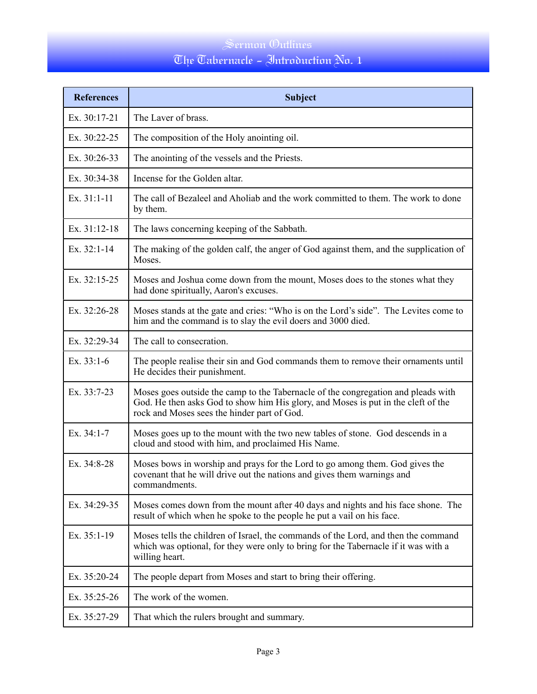# The Tabernacle - Introduction No. 1

| <b>References</b> | <b>Subject</b>                                                                                                                                                                                                        |
|-------------------|-----------------------------------------------------------------------------------------------------------------------------------------------------------------------------------------------------------------------|
| Ex. 30:17-21      | The Laver of brass.                                                                                                                                                                                                   |
| Ex. 30:22-25      | The composition of the Holy anointing oil.                                                                                                                                                                            |
| Ex. 30:26-33      | The anointing of the vessels and the Priests.                                                                                                                                                                         |
| Ex. 30:34-38      | Incense for the Golden altar.                                                                                                                                                                                         |
| Ex. 31:1-11       | The call of Bezaleel and Aholiab and the work committed to them. The work to done<br>by them.                                                                                                                         |
| Ex. 31:12-18      | The laws concerning keeping of the Sabbath.                                                                                                                                                                           |
| Ex. 32:1-14       | The making of the golden calf, the anger of God against them, and the supplication of<br>Moses.                                                                                                                       |
| Ex. 32:15-25      | Moses and Joshua come down from the mount, Moses does to the stones what they<br>had done spiritually, Aaron's excuses.                                                                                               |
| Ex. 32:26-28      | Moses stands at the gate and cries: "Who is on the Lord's side". The Levites come to<br>him and the command is to slay the evil doers and 3000 died.                                                                  |
| Ex. 32:29-34      | The call to consecration.                                                                                                                                                                                             |
| Ex. $33:1-6$      | The people realise their sin and God commands them to remove their ornaments until<br>He decides their punishment.                                                                                                    |
| Ex. 33:7-23       | Moses goes outside the camp to the Tabernacle of the congregation and pleads with<br>God. He then asks God to show him His glory, and Moses is put in the cleft of the<br>rock and Moses sees the hinder part of God. |
| Ex. 34:1-7        | Moses goes up to the mount with the two new tables of stone. God descends in a<br>cloud and stood with him, and proclaimed His Name.                                                                                  |
| Ex. 34:8-28       | Moses bows in worship and prays for the Lord to go among them. God gives the<br>covenant that he will drive out the nations and gives them warnings and<br>commandments.                                              |
| Ex. 34:29-35      | Moses comes down from the mount after 40 days and nights and his face shone. The<br>result of which when he spoke to the people he put a vail on his face.                                                            |
| Ex. 35:1-19       | Moses tells the children of Israel, the commands of the Lord, and then the command<br>which was optional, for they were only to bring for the Tabernacle if it was with a<br>willing heart.                           |
| Ex. 35:20-24      | The people depart from Moses and start to bring their offering.                                                                                                                                                       |
| Ex. 35:25-26      | The work of the women.                                                                                                                                                                                                |
| Ex. 35:27-29      | That which the rulers brought and summary.                                                                                                                                                                            |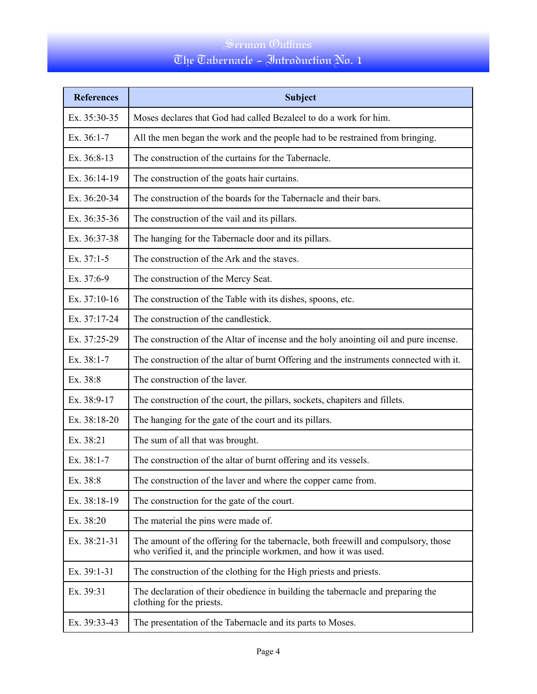# The Tabernacle - Introduction No. 1

| <b>References</b> | <b>Subject</b>                                                                                                                                         |
|-------------------|--------------------------------------------------------------------------------------------------------------------------------------------------------|
| Ex. 35:30-35      | Moses declares that God had called Bezaleel to do a work for him.                                                                                      |
| Ex. 36:1-7        | All the men began the work and the people had to be restrained from bringing.                                                                          |
| Ex. 36:8-13       | The construction of the curtains for the Tabernacle.                                                                                                   |
| Ex. 36:14-19      | The construction of the goats hair curtains.                                                                                                           |
| Ex. 36:20-34      | The construction of the boards for the Tabernacle and their bars.                                                                                      |
| Ex. 36:35-36      | The construction of the vail and its pillars.                                                                                                          |
| Ex. 36:37-38      | The hanging for the Tabernacle door and its pillars.                                                                                                   |
| Ex. $37:1-5$      | The construction of the Ark and the staves.                                                                                                            |
| Ex. 37:6-9        | The construction of the Mercy Seat.                                                                                                                    |
| Ex. 37:10-16      | The construction of the Table with its dishes, spoons, etc.                                                                                            |
| Ex. 37:17-24      | The construction of the candlestick.                                                                                                                   |
| Ex. 37:25-29      | The construction of the Altar of incense and the holy anointing oil and pure incense.                                                                  |
| Ex. 38:1-7        | The construction of the altar of burnt Offering and the instruments connected with it.                                                                 |
| Ex. 38:8          | The construction of the laver.                                                                                                                         |
| Ex. 38:9-17       | The construction of the court, the pillars, sockets, chapiters and fillets.                                                                            |
| Ex. 38:18-20      | The hanging for the gate of the court and its pillars.                                                                                                 |
| Ex. 38:21         | The sum of all that was brought.                                                                                                                       |
| Ex. 38:1-7        | The construction of the altar of burnt offering and its vessels.                                                                                       |
| Ex. 38:8          | The construction of the laver and where the copper came from.                                                                                          |
| Ex. 38:18-19      | The construction for the gate of the court.                                                                                                            |
| Ex. 38:20         | The material the pins were made of.                                                                                                                    |
| Ex. 38:21-31      | The amount of the offering for the tabernacle, both freewill and compulsory, those<br>who verified it, and the principle workmen, and how it was used. |
| Ex. 39:1-31       | The construction of the clothing for the High priests and priests.                                                                                     |
| Ex. 39:31         | The declaration of their obedience in building the tabernacle and preparing the<br>clothing for the priests.                                           |
| Ex. 39:33-43      | The presentation of the Tabernacle and its parts to Moses.                                                                                             |